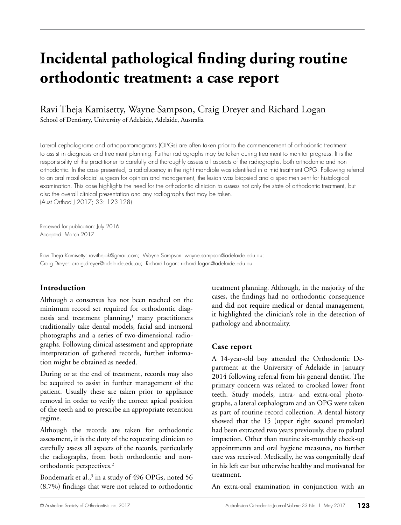# **Incidental pathological finding during routine orthodontic treatment: a case report**

# Ravi Theja Kamisetty, Wayne Sampson, Craig Dreyer and Richard Logan School of Dentistry, University of Adelaide, Adelaide, Australia

Lateral cephalograms and orthopantomograms (OPGs) are often taken prior to the commencement of orthodontic treatment to assist in diagnosis and treatment planning. Further radiographs may be taken during treatment to monitor progress. It is the responsibility of the practitioner to carefully and thoroughly assess all aspects of the radiographs, both orthodontic and nonorthodontic. In the case presented, a radiolucency in the right mandible was identified in a mid-treatment OPG. Following referral to an oral maxillofacial surgeon for opinion and management, the lesion was biopsied and a specimen sent for histological examination. This case highlights the need for the orthodontic clinician to assess not only the state of orthodontic treatment, but also the overall clinical presentation and any radiographs that may be taken. (Aust Orthod J 2017; 33: 123-128)

Received for publication: July 2016 Accepted: March 2017

Ravi Theja Kamisetty: ravithejak@gmail.com; Wayne Sampson: wayne.sampson@adelaide.edu.au; Craig Dreyer: craig.dreyer@adelaide.edu.au; Richard Logan: richard.logan@adelaide.edu.au

## **Introduction**

Although a consensus has not been reached on the minimum record set required for orthodontic diagnosis and treatment planning,<sup>1</sup> many practitioners traditionally take dental models, facial and intraoral photographs and a series of two-dimensional radiographs. Following clinical assessment and appropriate interpretation of gathered records, further information might be obtained as needed.

During or at the end of treatment, records may also be acquired to assist in further management of the patient. Usually these are taken prior to appliance removal in order to verify the correct apical position of the teeth and to prescribe an appropriate retention regime.

Although the records are taken for orthodontic assessment, it is the duty of the requesting clinician to carefully assess all aspects of the records, particularly the radiographs, from both orthodontic and nonorthodontic perspectives.<sup>2</sup>

Bondemark et al., $3$  in a study of 496 OPGs, noted 56 (8.7%) findings that were not related to orthodontic

treatment planning. Although, in the majority of the cases, the findings had no orthodontic consequence and did not require medical or dental management, it highlighted the clinician's role in the detection of pathology and abnormality.

## **Case report**

A 14-year-old boy attended the Orthodontic Department at the University of Adelaide in January 2014 following referral from his general dentist. The primary concern was related to crooked lower front teeth. Study models, intra- and extra-oral photographs, a lateral cephalogram and an OPG were taken as part of routine record collection. A dental history showed that the 15 (upper right second premolar) had been extracted two years previously, due to palatal impaction. Other than routine six-monthly check-up appointments and oral hygiene measures, no further care was received. Medically, he was congenitally deaf in his left ear but otherwise healthy and motivated for treatment.

An extra-oral examination in conjunction with an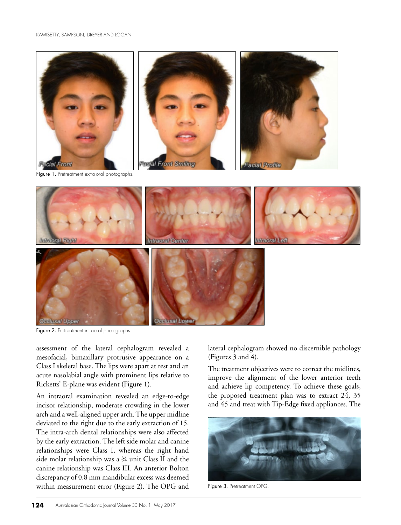



Figure 2. Pretreatment intraoral photographs.

assessment of the lateral cephalogram revealed a mesofacial, bimaxillary protrusive appearance on a Class I skeletal base. The lips were apart at rest and an acute nasolabial angle with prominent lips relative to Ricketts' E-plane was evident (Figure 1).

An intraoral examination revealed an edge-to-edge incisor relationship, moderate crowding in the lower arch and a well-aligned upper arch. The upper midline deviated to the right due to the early extraction of 15. The intra-arch dental relationships were also affected by the early extraction. The left side molar and canine relationships were Class I, whereas the right hand side molar relationship was a ¾ unit Class II and the canine relationship was Class III. An anterior Bolton discrepancy of 0.8 mm mandibular excess was deemed within measurement error (Figure 2). The OPG and lateral cephalogram showed no discernible pathology (Figures 3 and 4).

The treatment objectives were to correct the midlines, improve the alignment of the lower anterior teeth and achieve lip competency. To achieve these goals, the proposed treatment plan was to extract 24, 35 and 45 and treat with Tip-Edge fixed appliances. The



Figure 3. Pretreatment OPG.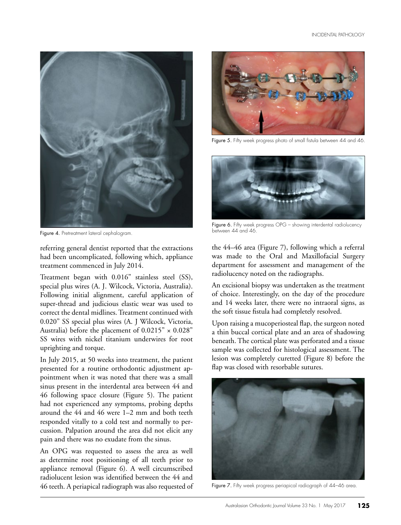

Figure 4. Pretreatment lateral cephalogram.

referring general dentist reported that the extractions had been uncomplicated, following which, appliance treatment commenced in July 2014.

Treatment began with 0.016" stainless steel (SS), special plus wires (A. J. Wilcock, Victoria, Australia). Following initial alignment, careful application of super-thread and judicious elastic wear was used to correct the dental midlines. Treatment continued with 0.020" SS special plus wires (A. J Wilcock, Victoria, Australia) before the placement of  $0.0215" \times 0.028"$ SS wires with nickel titanium underwires for root uprighting and torque.

In July 2015, at 50 weeks into treatment, the patient presented for a routine orthodontic adjustment appointment when it was noted that there was a small sinus present in the interdental area between 44 and 46 following space closure (Figure 5). The patient had not experienced any symptoms, probing depths around the 44 and 46 were 1–2 mm and both teeth responded vitally to a cold test and normally to percussion. Palpation around the area did not elicit any pain and there was no exudate from the sinus.

An OPG was requested to assess the area as well as determine root positioning of all teeth prior to appliance removal (Figure 6). A well circumscribed radiolucent lesion was identified between the 44 and 46 teeth. A periapical radiograph was also requested of



Figure 5. Fifty week progress photo of small fistula between 44 and 46.



Figure 6. Fifty week progress OPG - showing interdental radiolucency between 44 and 46.

the 44–46 area (Figure 7), following which a referral was made to the Oral and Maxillofacial Surgery department for assessment and management of the radiolucency noted on the radiographs.

An excisional biopsy was undertaken as the treatment of choice. Interestingly, on the day of the procedure and 14 weeks later, there were no intraoral signs, as the soft tissue fistula had completely resolved.

Upon raising a mucoperiosteal flap, the surgeon noted a thin buccal cortical plate and an area of shadowing beneath. The cortical plate was perforated and a tissue sample was collected for histological assessment. The lesion was completely curetted (Figure 8) before the flap was closed with resorbable sutures.



Figure 7. Fifty week progress periapical radiograph of 44–46 area.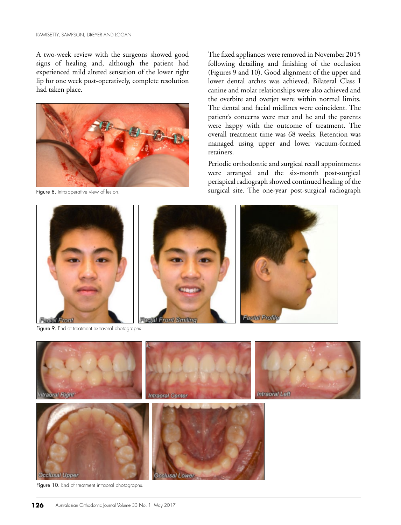A two-week review with the surgeons showed good signs of healing and, although the patient had experienced mild altered sensation of the lower right lip for one week post-operatively, complete resolution had taken place.



Figure 8. Intra-operative view of lesion.

The fixed appliances were removed in November 2015 following detailing and finishing of the occlusion (Figures 9 and 10). Good alignment of the upper and lower dental arches was achieved. Bilateral Class I canine and molar relationships were also achieved and the overbite and overjet were within normal limits. The dental and facial midlines were coincident. The patient's concerns were met and he and the parents were happy with the outcome of treatment. The overall treatment time was 68 weeks. Retention was managed using upper and lower vacuum-formed retainers.

Periodic orthodontic and surgical recall appointments were arranged and the six-month post-surgical periapical radiograph showed continued healing of the surgical site. The one-year post-surgical radiograph



Figure 9. End of treatment extra-oral photographs.



Figure 10. End of treatment intraoral photographs.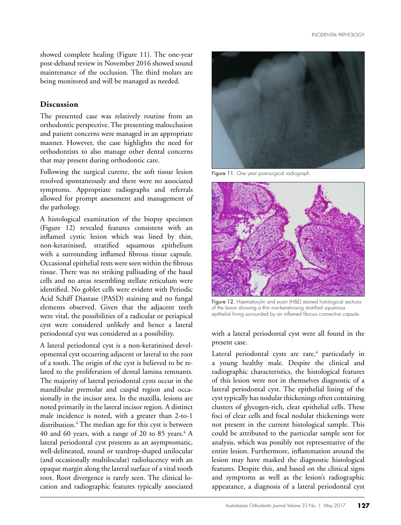showed complete healing (Figure 11). The one-year post-deband review in November 2016 showed sound maintenance of the occlusion. The third molars are being monitored and will be managed as needed.

#### **Discussion**

The presented case was relatively routine from an orthodontic perspective. The presenting malocclusion and patient concerns were managed in an appropriate manner. However, the case highlights the need for orthodontists to also manage other dental concerns that may present during orthodontic care.

Following the surgical curette, the soft tissue lesion resolved spontaneously and there were no associated symptoms. Appropriate radiographs and referrals allowed for prompt assessment and management of the pathology.

A histological examination of the biopsy specimen (Figure 12) revealed features consistent with an inflamed cystic lesion which was lined by thin, non-keratinised, stratified squamous epithelium with a surrounding inflamed fibrous tissue capsule. Occasional epithelial rests were seen within the fibrous tissue. There was no striking pallisading of the basal cells and no areas resembling stellate reticulum were identified. No goblet cells were evident with Periodic Acid Schiff Diastase (PASD) staining and no fungal elements observed. Given that the adjacent teeth were vital, the possibilities of a radicular or periapical cyst were considered unlikely and hence a lateral periodontal cyst was considered as a possibility.

A lateral periodontal cyst is a non-keratinised developmental cyst occurring adjacent or lateral to the root of a tooth. The origin of the cyst is believed to be related to the proliferation of dental lamina remnants. The majority of lateral periodontal cysts occur in the mandibular premolar and cuspid region and occasionally in the incisor area. In the maxilla, lesions are noted primarily in the lateral incisor region. A distinct male incidence is noted, with a greater than 2-to-1 distribution.4 The median age for this cyst is between  $40$  and  $60$  years, with a range of  $20$  to  $85$  years.<sup>4</sup> A lateral periodontal cyst presents as an asymptomatic, well-delineated, round or teardrop-shaped unilocular (and occasionally multilocular) radiolucency with an opaque margin along the lateral surface of a vital tooth root. Root divergence is rarely seen. The clinical location and radiographic features typically associated



Figure 11. One year post-surgical radiograph.



Figure 12. Haematoxylin and eosin (H&E) stained histological sections of the lesion showing  $\alpha$  thin non-keratinising stratified squamous epithelial lining surrounded by an inflamed fibrous connective capsule.

#### with a lateral periodontal cyst were all found in the present case.

Lateral periodontal cysts are rare,<sup>4</sup> particularly in a young healthy male. Despite the clinical and radiographic characteristics, the histological features of this lesion were not in themselves diagnostic of a lateral periodontal cyst. The epithelial lining of the cyst typically has nodular thickenings often containing clusters of glycogen-rich, clear epithelial cells. These foci of clear cells and focal nodular thickenings were not present in the current histological sample. This could be attributed to the particular sample sent for analysis, which was possibly not representative of the entire lesion. Furthermore, inflammation around the lesion may have masked the diagnostic histological features. Despite this, and based on the clinical signs and symptoms as well as the lesion's radiographic appearance, a diagnosis of a lateral periodontal cyst